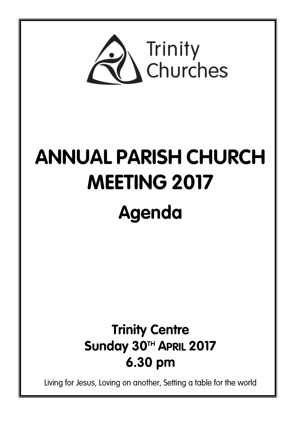

# **ANNUAL PARISH CHURCH MEETING 2017**

# Agenda

# **Trinity Centre** Sunday 30TH APRIL 2017 6.30 pm

Living for Jesus, Loving on another, Setting a table for the world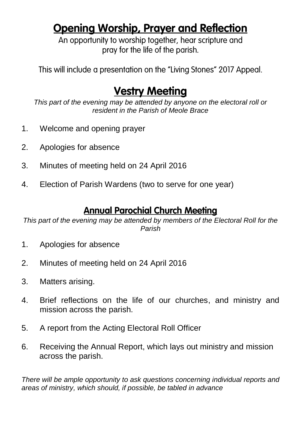## **Opening Worship, Prayer and Reflection**

An opportunity to worship together, hear scripture and pray for the life of the parish.

This will include a presentation on the "Living Stones" 2017 Appeal.

### **Vestry Meeting**

*This part of the evening may be attended by anyone on the electoral roll or resident in the Parish of Meole Brace*

- 1. Welcome and opening prayer
- 2. Apologies for absence
- 3. Minutes of meeting held on 24 April 2016
- 4. Election of Parish Wardens (two to serve for one year)

#### **Annual Parochial Church Meeting**

*This part of the evening may be attended by members of the Electoral Roll for the Parish*

- 1. Apologies for absence
- 2. Minutes of meeting held on 24 April 2016
- 3. Matters arising.
- 4. Brief reflections on the life of our churches, and ministry and mission across the parish.
- 5. A report from the Acting Electoral Roll Officer
- 6. Receiving the Annual Report, which lays out ministry and mission across the parish.

*There will be ample opportunity to ask questions concerning individual reports and areas of ministry, which should, if possible, be tabled in advance*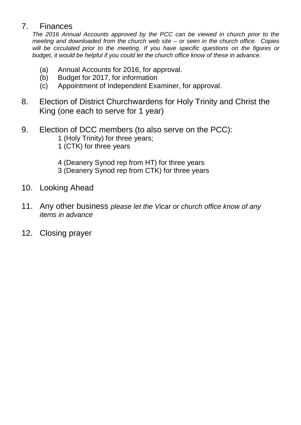#### 7. Finances

*The 2016 Annual Accounts approved by the PCC can be viewed in church prior to the meeting and downloaded from the church web site – or seen in the church office. Copies will be circulated prior to the meeting. If you have specific questions on the figures or budget, it would be helpful if you could let the church office know of these in advance.*

- (a) Annual Accounts for 2016, for approval.
- (b) Budget for 2017, for information
- (c) Appointment of Independent Examiner, for approval.
- 8. Election of District Churchwardens for Holy Trinity and Christ the King (one each to serve for 1 year)
- 9. Election of DCC members (to also serve on the PCC):
	- 1 (Holy Trinity) for three years;
	- 1 (CTK) for three years
	- 4 (Deanery Synod rep from HT) for three years
	- 3 (Deanery Synod rep from CTK) for three years
- 10. Looking Ahead
- 11. Any other business *please let the Vicar or church office know of any items in advance*
- 12. Closing prayer